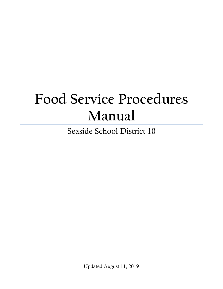# **Food Service Procedures Manual**

Seaside School District 10

Updated August 11, 2019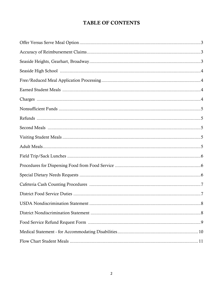### **TABLE OF CONTENTS**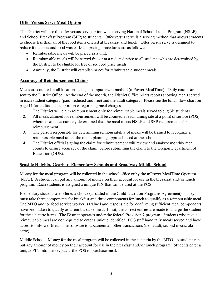#### Offer Versus Serve Meal Option

The District will use the offer versus serve option when serving National School Lunch Program (NSLP) and School Breakfast Program (SBP) to students. Offer versus serve is a serving method that allows students to choose less than all of the food items offered at breakfast and lunch. Offer versus serve is designed to reduce food costs and food waste. Meal pricing procedures are as follows:

- Reimbursable meals will be priced as a unit.
- Reimbursable meals will be served free or at a reduced price to all students who are determined by the District to be eligible for free or reduced price meals.
- Annually, the District will establish prices for reimbursable student meals.

#### Accuracy of Reimbursement Claims

Meals are counted at all locations using a computerized method (mPower MealTime). Daily counts are sent to the District Office. At the end of the month, the District Office prints reports showing meals served in each student category (paid, reduced and free) and the adult category. Please see the lunch flow chart on page 11 for additional support on categorizing meal charges.

- 1. The District will claim reimbursement only for reimbursable meals served to eligible students.
- 2. All meals claimed for reimbursement will be counted at each dining site at a point of service (POS) where it can be accurately determined that the meal meets NSLP and SBP requirements for reimbursement.
- 3. The person responsible for determining reimbursability of meals will be trained to recognize a reimbursable meal under the menu planning approach used at the school.
- 4. The District official signing the claim for reimbursement will review and analyze monthly meal counts to ensure accuracy of the claim, before submitting the claim to the Oregon Department of Education (ODE).

#### Seaside Heights, Gearhart Elementary Schools and Broadway Middle School

Money for the meal program will be collected in the school office or by the mPower MealTime Operator (MTO). A student can put any amount of money on their account for use in the breakfast and/or lunch program. Each students is assigned a unique PIN that can be used at the POS.

Elementary students are offered a choice (as stated in the Child Nutrition Programs Agreement). They must take three components for breakfast and three components for lunch to qualify as a reimbursable meal. The MTO and/or food service worker is trained and responsible for confirming sufficient meal components have been taken to qualify as a reimbursable meal. If not, the correct entries are made to charge the student for the ala carte items. The District operates under the federal Provision 2 program. Students who take a reimbursable meal are not required to enter a unique identifier. POS staff hand tally meals served and have access to mPower MealTime software to document all other transactions (i.e., adult, second meals, ala carte).

Middle School: Money for the meal program will be collected in the cafeteria by the MTO. A student can put any amount of money on their account for use in the breakfast and/or lunch program. Students enter a unique PIN into the keypad at the POS to purchase meal.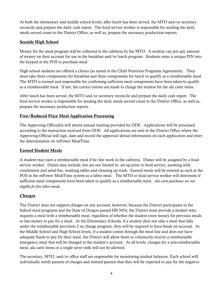At both the elementary and middle school levels, after lunch has been served, the MTO and/or secretary reconcile and prepare the daily cash report. The food service worker is responsible for sending the daily meals served count to the District Office; as well as, prepare the necessary production reports.

#### Seaside High School

Money for the meal program will be collected in the cafeteria by the MTO. A student can put any amount of money on their account for use in the breakfast and/or lunch program. Students enter a unique PIN into the keypad at the POS to purchase meal.

High school students are offered a choice (as stated in the Child Nutrition Programs Agreement). They must take three components for breakfast and three components for lunch to qualify as a reimbursable meal. The MTO is trained and responsible for confirming sufficient meal components have been taken to qualify as a reimbursable meal. If not, the correct entries are made to charge the student for the ala carte items.

After lunch has been served, the MTO and/or secretary reconcile and prepare the daily cash report. The food service worker is responsible for sending the daily meals served count to the District Office; as well as, prepare the necessary production reports.

#### Free/Reduced Price Meal Application Processing

The Approving Official(s) will attend annual training provided by ODE. Applications will be processed according to the instruction received from ODE. All applications are sent to the District Office where the Approving Official will sign, date and record the approval/denial information on each application and enter the determination on mPower MealTime.

#### Earned Student Meals

A student may earn a reimbursable meal if he/she work in the cafeteria. Duties will be assigned by a food service worker. Duties may include, but are not limited to: set-up prior to food service, assisting with condiments and salad bar, washing tables and cleaning up trash. Earned meals will be entered as such at the POS in the mPower MealTime system as a labor meal. The MTO or food service worker will determine if sufficient meal components have been taken to qualify as a reimbursable meal. *Ala carte purchases are not eligible for free labor meals.*

#### **Charges**

The District does not support charges on any account; however, because the District participates in the federal meal programs and the State of Oregon passed HB 3454, the District must provide a student who requests a meal with a reimbursable meal, regardless of whether the student owes money for pervious meals or has money to pay for a meal. At the Elementary Schools, if a student does not take a meal that falls under the reimbursable provision 2 no charge program, they will be required to have funds on account. At the Middle School and High School levels, if a student comes through the meal line and does not have adequate funds to pay for their meal, the District will allow them to voluntarily receive a reimbursable emergency meal that will be charged to the student's account. At all levels, charges for a non-reimbursable meal, ala carte items or a single serve milk will not be allowed.

The secretary, MTO, and/or office staff are responsible for monitoring student balances. Each school will individually notify parents of charges and remind parents that they will be expected to pay for the negative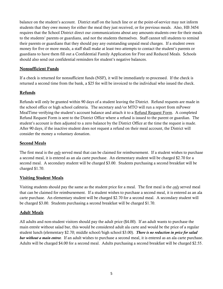balance on the student's account. District staff on the lunch line or at the point-of-service may not inform students that they owe money for either the meal they just received, or for previous meals. Also, HB 3454 requires that the School District direct our communications about any amounts students owe for their meals to the students' parents or guardians, and not the students themselves. Staff cannot tell students to remind their parents or guardians that they should pay any outstanding unpaid meal charges. If a student owes money for five or more meals, a staff shall make at least two attempts to contact the student's parents or guardians to have them fill out a Confidential Family Application for Free and Reduced Meals. Schools should also send out confidential reminders for student's negative balances.

#### Nonsufficient Funds

If a check is returned for nonsufficient funds (NSF), it will be immediately re-processed. If the check is returned a second time from the bank, a \$25 fee will be invoiced to the individual who issued the check.

#### Refunds

Refunds will only be granted within 90 days of a student leaving the District. Refund requests are made in the school office or high school cafeteria. The secretary and/or MTO will run a report from mPower MealTime verifying the student's account balance and attach it to a Refund Request Form. A completed Refund Request Form is sent to the District Office where a refund is issued to the parent or guardian. The student's account is then adjusted to a zero balance by the District Office at the time the request is made. After 90 days, if the inactive student does not request a refund on their meal account, the District will consider the money a voluntary donation.

#### Second Meals

The first meal is the *only* served meal that can be claimed for reimbursement. If a student wishes to purchase a second meal, it is entered as an ala carte purchase. An elementary student will be charged \$2.70 for a second meal. A secondary student will be charged \$3.00. Students purchasing a second breakfast will be charged \$1.70.

#### Visiting Student Meals

Visiting students should pay the same as the student price for a meal. The first meal is the *only* served meal that can be claimed for reimbursement. If a student wishes to purchase a second meal, it is entered as an ala carte purchase. An elementary student will be charged \$2.70 for a second meal. A secondary student will be charged \$3.00. Students purchasing a second breakfast will be charged \$1.70.

#### Adult Meals

All adults and non-student visitors should pay the adult price (\$4.00). If an adult wants to purchase the main entrée without salad bar, this would be considered adult ala carte and would be the price of a regular student lunch (elementary \$2.70; middle school/high school \$3.00). *There is no reduction in price for salad bar without a main entree.* If an adult wishes to purchase a second meal, it is entered as an ala carte purchase. Adults will be charged \$4.00 for a second meal. Adults purchasing a second breakfast will be charged \$2.55.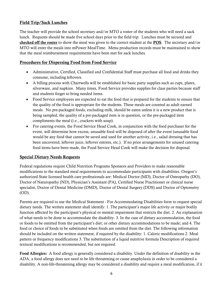#### Field Trip/Sack Lunches

The teacher will provide the school secretary and/or MTO a roster of the students who will need a sack lunch. Requests should be made five school days prior to the field trip. Lunches must be secured and checked off the roster to show the meal was given to the correct student at the POS. The secretary and/or MTO will enter the meals into mPower MealTime. Menu production records must be maintained to show that the meal reimbursement requirements have been met for sack lunches.

#### Procedures for Dispersing Food from Food Service

- Administrative, Certified, Classified and Confidential Staff must purchase all food and drinks they consume, including leftovers.
- A billing process with Chartwells will be established for basic party supplies such as cups, plates, silverware, and napkins. Many times, Food Service provides supplies for class parties because staff and students forget to bring needed items.
- Food Service employees are expected to eat the food that is prepared for the students to ensure that the quality of the food is appropriate for the students. These meals are counted as adult earned meals. No pre-packaged foods, excluding milk, should be eaten unless it is a new product that is being sampled, the quality of a pre-packaged item is in question, or the pre-packaged item compliments the meal (i.e., crackers with soup).
- For catering events, the Food Service Head Cook, in conjunction with the food purchaser for the event, will determine how excess, unusable food will be disposed of after the event (unusable food would be any food that cannot be saved and used for another activity, i.e., salad dressing that has been uncovered, leftover juice, leftover entrees, etc.). If no prior arrangements for unused catering food items have been made, the Food Service Head Cook will make the decision for disposal.

#### Special Dietary Needs Requests

Federal regulations require Child Nutrition Programs Sponsors and Providers to make reasonable modifications to the standard meal requirements to accommodate participants with disabilities. Oregon's authorized State licensed health care professionals are: Medical Doctor (MD), Doctor of Osteopathy (DO), Doctor of Naturopathy (ND), Physician's Assistant (PA), Certified Nurse Practitioner or clinical nurse specialist, Doctor of Dental Medicine (DMD), Doctor of Dental Surgery (DDS) and Doctor of Optometry (OD).

Parents are required to use the Medical Statement - For Accommodating Disabilities form to request special dietary needs. The written statement shall identify: 1. The participant's major life activity or major bodily function affected by the participant's physical or mental impairment that restricts the diet. 2. An explanation of what needs to be done to accommodate the disability. 3. In the case of dietary accommodation, the food or foods to be omitted from the participant's diet; or other dietary accommodations to be made; and 4. The food or choice of foods to be substituted when foods are omitted from the diet. The following information should be included on the written statement, if required by the disability: 1. Caloric modifications 2. Meal pattern or frequency modifications 3. The substitution of a liquid nutritive formula Description of required textural modifications is recommended, but not required.

Food Allergies: A food allergy is generally considered a disability. Under the definition of disability in the ADA, a food allergy does not need to be life threatening or cause anaphylaxis in order to be considered a disability. A non-life-threatening allergy may be considered a disability and require a meal modification, if it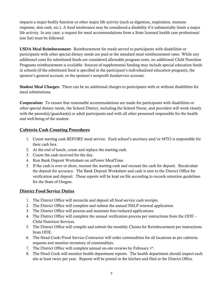impacts a major bodily function or other major life activity (such as digestion, respiration, immune response, skin rash, etc.). A food intolerance may be considered a disability if it substantially limits a major life activity. In any case, a request for meal accommodations from a State licensed health care professional (see list) must be followed.

USDA Meal Reimbursement: Reimbursement for meals served to participants with disabilities or participants with other special dietary needs are paid at the standard meal reimbursement rates. While any additional costs for substituted foods are considered allowable program costs, no additional Child Nutrition Programs reimbursement is available. Sources of supplemental funding may include special education funds in schools (if the substituted food is specified in the participant's individualized education program), the sponsor's general account, or the sponsor's nonprofit foodservice account.

Student Meal Charges: There can be no additional charges to participants with or without disabilities for meal substitutions.

Cooperation: To ensure that reasonable accommodations are made for participants with disabilities or other special dietary needs, the School District, including the School Nurse, and providers will work closely with the parent(s)/guardian(s) or adult participants and with all other personnel responsible for the health and well-being of the student.

#### Cafeteria Cash Counting Procedures

- 1. Count starting cash BEFORE meal service. Each school's secretary and/or MTO is responsible for their cash box.
- 2. At the end of lunch, count and replace the starting cash.
- 3. Count the cash received for the day.
- 4. Run Bank Deposit Worksheet on mPower MealTime.
- 5. If the cash is over or short, recount the starting cash and recount the cash for deposit. Recalculate the deposit for accuracy. The Bank Deposit Worksheet and cash is sent to the District Office for verification and deposit. These reports will be kept on file according to records retention guidelines for the State of Oregon.

#### District Food Service Duties

- 1. The District Office will reconcile and deposit all food service cash receipts.
- 2. The District Office will complete and submit the annual NSLP renewal application.
- 3. The District Office will process and maintain free/reduced applications.
- 4. The District Office will complete the annual verification process per instructions from the ODE Child Nutrition Services.
- 5. The District Office will compile and submit the monthly Claims for Reimbursement per instructions from ODE.
- 6. The Head Cook/Food Service Contractor will order commodities for all locations as per cafeteria requests and monitor inventory of commodities.
- 7. The District Office will complete annual on-site reviews by February  $1<sup>st</sup>$ .
- 8. The Head Cook will monitor health department reports. The health department should inspect each site at least twice per year. Reports will be posted in the kitchen and filed at the District Office.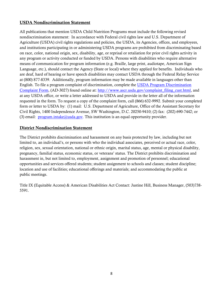#### USDA Nondiscrimination Statement

All publications that mention USDA Child Nutrition Programs must include the following revised nondiscrimination statement: In accordance with Federal civil rights law and U.S. Department of Agriculture (USDA) civil rights regulations and policies, the USDA, its Agencies, offices, and employees, and institutions participating in or administering USDA programs are prohibited from discriminating based on race, color, national origin, sex, disability, age, or reprisal or retaliation for prior civil rights activity in any program or activity conducted or funded by USDA. Persons with disabilities who require alternative means of communication for program information (e.g. Braille, large print, audiotape, American Sign Language, etc.), should contact the Agency (State or local) where they applied for benefits. Individuals who are deaf, hard of hearing or have speech disabilities may contact USDA through the Federal Relay Service at (800) 877-8339. Additionally, program information may be made available in languages other than English. To file a program complaint of discrimination, complete the [USDA Program Discrimination](http://www.ocio.usda.gov/sites/default/files/docs/2012/Complain_combined_6_8_12.pdf)  [Complaint Form,](http://www.ocio.usda.gov/sites/default/files/docs/2012/Complain_combined_6_8_12.pdf) (AD-3027) found online at: [http://www.ascr.usda.gov/complaint\\_filing\\_cust.html,](http://www.ascr.usda.gov/complaint_filing_cust.html) and at any USDA office, or write a letter addressed to USDA and provide in the letter all of the information requested in the form. To request a copy of the complaint form, call (866) 632-9992. Submit your completed form or letter to USDA by: (1) mail: U.S. Department of Agriculture, Office of the Assistant Secretary for Civil Rights, 1400 Independence Avenue, SW Washington, D.C. 20250-9410; (2) fax: (202) 690-7442; or (3) email: [program.intake@usda.gov.](mailto:program.intake@usda.gov) This institution is an equal opportunity provider.

#### District Nondiscrimination Statement

The District prohibits discrimination and harassment on any basis protected by law, including but not limited to, an individual's, or persons with who the individual associates, perceived or actual race, color, religion, sex, sexual orientation, national or ethnic origin, marital status, age, mental or physical disability, pregnancy, familial status, economic status, or veterans' status. The District prohibits discrimination and harassment in, but not limited to, employment, assignment and promotion of personnel; educational opportunities and services offered students; student assignment to schools and classes; student discipline; location and use of facilities; educational offerings and materials; and accommodating the public at public meetings.

Title IX (Equitable Access) & American Disabilities Act Contact: Justine Hill, Business Manager, (503)738- 5591.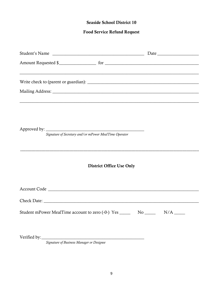#### **Seaside School District 10**

#### **Food Service Refund Request**

| <u> 1989 - Johann Harry Harry Harry Harry Harry Harry Harry Harry Harry Harry Harry Harry Harry Harry Harry Harry</u> |                                 |  |  |
|-----------------------------------------------------------------------------------------------------------------------|---------------------------------|--|--|
|                                                                                                                       |                                 |  |  |
| <u> 2000 - Andrea Andrewski, američki politik († 18. února 18. února 18. února 18. února 18. února 18. února 18.</u>  |                                 |  |  |
| Signature of Secretary and/or mPower MealTime Operator                                                                |                                 |  |  |
|                                                                                                                       | <b>District Office Use Only</b> |  |  |
|                                                                                                                       |                                 |  |  |
|                                                                                                                       |                                 |  |  |
|                                                                                                                       |                                 |  |  |
|                                                                                                                       |                                 |  |  |

Signature of Business Manager or Designee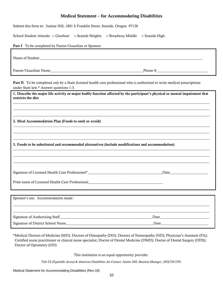#### Medical Statement – for Accommodating Disabilities

Submit this form to: Justine Hill, 1801 S Franklin Street, Seaside, Oregon 97138

School Student Attends: □ Gearhart □ Seaside Heights □ Broadway Middle □ Seaside High

## Part I To be completed by Parent/Guardian or Sponsor Name of Student  $\blacksquare$ Parent/Guardian Name\_\_\_\_\_\_\_\_\_\_\_\_\_\_\_\_\_\_\_\_\_\_\_\_\_\_\_\_\_\_\_\_\_\_\_\_\_\_\_\_\_\_\_\_\_\_\_\_\_\_\_Phone #\_\_\_\_\_\_\_\_\_\_\_\_\_\_\_\_\_\_\_\_\_\_\_\_\_\_\_\_ Part II To be completed *only* by a State licensed health care professional who is authorized to write medical prescriptions under State law.\* Answer questions 1-3.

| $\mu$ or $\mu$ or $\mu$ or $\mu$ . This well questions $1 - 5$ .                                                                                    |      |
|-----------------------------------------------------------------------------------------------------------------------------------------------------|------|
| 1. Describe the major life activity or major bodily function affected by the participant's physical or mental impairment that<br>restricts the diet |      |
| 2. Meal Accommodation Plan (Foods to omit or avoid)                                                                                                 |      |
| 3. Foods to be substituted and recommended alternatives (include modifications and accommodation)                                                   |      |
| Signature of Licensed Health Care Professional*<br><u>Example 2001</u>                                                                              |      |
| Print name of Licensed Health Care Professional__________________________________                                                                   |      |
| Sponsor's use: Accommodation made:                                                                                                                  |      |
| Signature of Authorizing Staff                                                                                                                      | Date |

\*Medical Doctors of Medicine (MD); Doctors of Osteopathy (DO); Doctors of Naturopathy (ND); Physician's Assistant (PA); Certified nurse practitioner or clinical nurse specialist; Doctor of Dental Medicine (DMD); Doctor of Dental Surgery (DDS); Doctor of Optometry (OD)

Signature of District School Nurse and the set of District School Nurse and the set of District School Nurse and the set of District School Nurse and the set of District School Nurse and the set of District School Nurse an

This institution is an equal opportunity provider.

*Title IX (Equitable Access) & American Disabilities Act Contact: Justine Hill, Business Manager, (503)738-5591.*